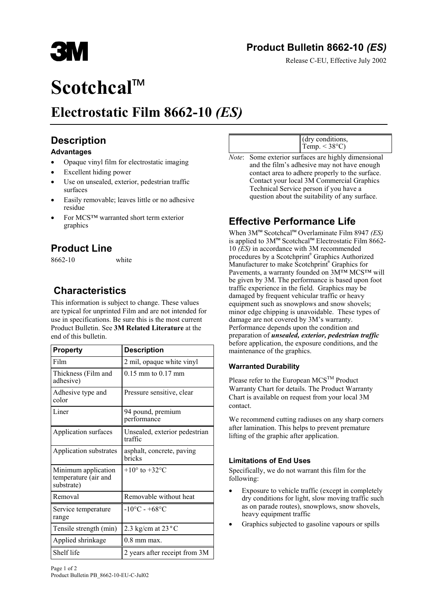# **3M**

## **Product Bulletin 8662-10** *(ES)*

Release C-EU, Effective July 2002

## **Scotchcal**™

## **Electrostatic Film 8662-10** *(ES)*

## **Description**

#### **Advantages**

- Opaque vinyl film for electrostatic imaging
- Excellent hiding power
- Use on unsealed, exterior, pedestrian traffic surfaces
- Easily removable; leaves little or no adhesive residue
- For MCS™ warranted short term exterior graphics

## **Product Line**

8662-10 white

## **Characteristics**

This information is subject to change. These values are typical for unprinted Film and are not intended for use in specifications. Be sure this is the most current Product Bulletin. See **3M Related Literature** at the end of this bulletin.

| <b>Property</b>                                           | <b>Description</b>                       |
|-----------------------------------------------------------|------------------------------------------|
| Film                                                      | 2 mil, opaque white vinyl                |
| Thickness (Film and<br>adhesive)                          | $0.15$ mm to $0.17$ mm                   |
| Adhesive type and<br>color                                | Pressure sensitive, clear                |
| Liner                                                     | 94 pound, premium<br>performance         |
| Application surfaces                                      | Unsealed, exterior pedestrian<br>traffic |
| Application substrates                                    | asphalt, concrete, paving<br>bricks      |
| Minimum application<br>temperature (air and<br>substrate) | $+10^{\circ}$ to $+32^{\circ}$ C         |
| Removal                                                   | Removable without heat                   |
| Service temperature<br>range                              | $-10^{\circ}$ C - +68 $^{\circ}$ C       |
| Tensile strength (min)                                    | 2.3 kg/cm at $23^{\circ}$ C              |
| Applied shrinkage                                         | $0.8$ mm max.                            |
| Shelf life                                                | 2 years after receipt from 3M            |

| $\int$ (dry conditions,   |
|---------------------------|
| Temp. $<$ 38 $\degree$ C) |

*Note*: Some exterior surfaces are highly dimensional and the film's adhesive may not have enough contact area to adhere properly to the surface. Contact your local 3M Commercial Graphics Technical Service person if you have a question about the suitability of any surface.

## **Effective Performance Life**

When 3M™ Scotchcal™ Overlaminate Film 8947 *(ES)* is applied to 3M™ Scotchcal™ Electrostatic Film 8662- 10 *(ES)* in accordance with 3M recommended procedures by a Scotchprint® Graphics Authorized Manufacturer to make Scotchprint® Graphics for Pavements, a warranty founded on 3M™ MCS™ will be given by 3M. The performance is based upon foot traffic experience in the field. Graphics may be damaged by frequent vehicular traffic or heavy equipment such as snowplows and snow shovels; minor edge chipping is unavoidable. These types of damage are not covered by 3M's warranty. Performance depends upon the condition and preparation of *unsealed, exterior, pedestrian traffic* before application, the exposure conditions, and the maintenance of the graphics.

#### **Warranted Durability**

Please refer to the European MCS<sup>TM</sup> Product Warranty Chart for details. The Product Warranty Chart is available on request from your local 3M contact.

We recommend cutting radiuses on any sharp corners after lamination. This helps to prevent premature lifting of the graphic after application.

#### **Limitations of End Uses**

Specifically, we do not warrant this film for the following:

- Exposure to vehicle traffic (except in completely dry conditions for light, slow moving traffic such as on parade routes), snowplows, snow shovels, heavy equipment traffic
- Graphics subjected to gasoline vapours or spills